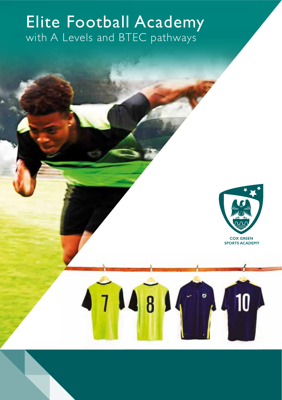# with A Levels and BTEC pathways Elite Football Academy



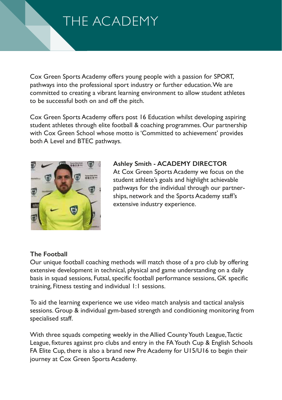# THE ACADEMY

Cox Green Sports Academy offers young people with a passion for SPORT, pathways into the professional sport industry or further education.We are committed to creating a vibrant learning environment to allow student athletes to be successful both on and off the pitch.

Cox Green Sports Academy offers post 16 Education whilst developing aspiring student athletes through elite football & coaching programmes. Our partnership with Cox Green School whose motto is'Committed to achievement' provides both A Level and BTEC pathways.



### **Ashley Smith - ACADEMY DIRECTOR**

At Cox Green Sports Academy we focus on the student athlete's goals and highlight achievable pathways for the individual through our partnerships, network and the Sports Academy staff's extensive industry experience.

#### **The Football**

Our unique football coaching methods will match those of a pro club by offering extensive development in technical, physical and game understanding on a daily basis in squad sessions, Futsal, specific football performance sessions, GK specific training, Fitness testing and individual 1:1 sessions.

To aid the learning experience we use video match analysis and tactical analysis sessions. Group & individual gym-based strength and conditioning monitoring from specialised staff.

With three squads competing weekly in the Allied County Youth League, Tactic League, fixtures against pro clubs and entry in the FAYouth Cup & English Schools FA Elite Cup, there is also a brand new Pre Academy for U15/U16 to begin their journey at Cox Green Sports Academy.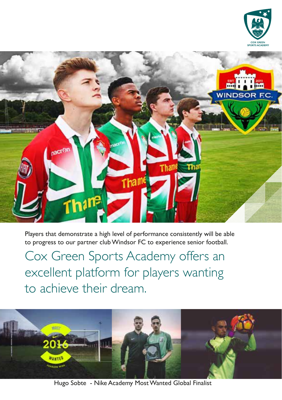



Players that demonstrate a high level of performance consistently will be able to progress to our partner club Windsor FC to experience senior football.

Cox Green Sports Academy offers an excellent platform for players wanting to achieve their dream.



Hugo Sobte - Nike Academy Most Wanted Global Finalist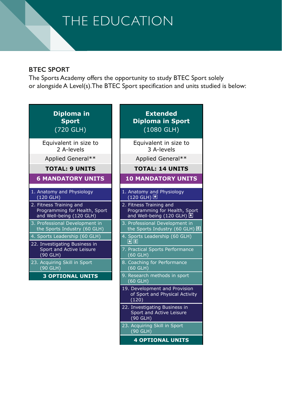# THE EDUCATION

#### **BTEC SPORT**

The Sports Academy offers the opportunity to study BTEC Sport solely or alongside A Level(s).The BTEC Sport specification and units studied is below:

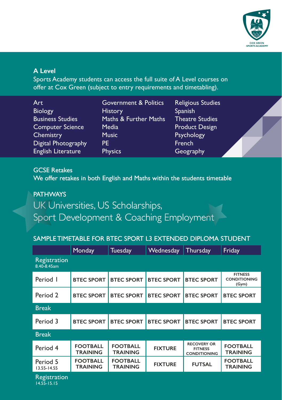

#### **A Level**

Sports Academy students can access the full suite of A Level courses on offer at Cox Green (subject to entry requirements and timetabling).

| Art                     | <b>Government &amp; Politics</b> | <b>Religious Studies</b> |
|-------------------------|----------------------------------|--------------------------|
| <b>Biology</b>          | <b>History</b>                   | <b>Spanish</b>           |
| <b>Business Studies</b> | Maths & Further Maths            | <b>Theatre Studies</b>   |
| <b>Computer Science</b> | Media                            | <b>Product Design</b>    |
| Chemistry               | <b>Music</b>                     | Psychology               |
| Digital Photography     | PF                               | French                   |
| English Literature      | <b>Physics</b>                   | Geography                |

### GCSE Retakes

We offer retakes in both English and Maths within the students timetable

## **PATHWAYS** UK Universities, US Scholarships, Sport Development & Coaching Employment

#### SAMPLE TIMETABLE FOR BTEC SPORT L3 EXTENDED DIPLOMA STUDENT

|                             | Monday                             | <b>Tuesday</b>                     | Wednesday         | Thursday                                                    | Friday                                         |
|-----------------------------|------------------------------------|------------------------------------|-------------------|-------------------------------------------------------------|------------------------------------------------|
| Registration<br>8.40-8.45am |                                    |                                    |                   |                                                             |                                                |
| Period I                    | <b>BTEC SPORT</b>                  | <b>BTEC SPORT</b>                  | <b>BTEC SPORT</b> | <b>BTEC SPORT</b>                                           | <b>FITNESS</b><br><b>CONDITIONING</b><br>(Gym) |
| Period 2                    | <b>BTEC SPORT</b>                  | <b>BTEC SPORT</b>                  | <b>BTEC SPORT</b> | <b>BTEC SPORT</b>                                           | <b>BTEC SPORT</b>                              |
| <b>Break</b>                |                                    |                                    |                   |                                                             |                                                |
| Period 3                    | <b>BTEC SPORT</b>                  | <b>BTEC SPORT</b>                  | <b>BTEC SPORT</b> | <b>BTEC SPORT</b>                                           | <b>BTEC SPORT</b>                              |
| <b>Break</b>                |                                    |                                    |                   |                                                             |                                                |
| Period 4                    | <b>FOOTBALL</b><br><b>TRAINING</b> | <b>FOOTBALL</b><br><b>TRAINING</b> | <b>FIXTURE</b>    | <b>RECOVERY OR</b><br><b>FITNESS</b><br><b>CONDITIONING</b> | <b>FOOTBALL</b><br><b>TRAINING</b>             |
| Period 5<br>$13.55 - 14.55$ | <b>FOOTBALL</b><br><b>TRAINING</b> | <b>FOOTBALL</b><br><b>TRAINING</b> | <b>FIXTURE</b>    | <b>FUTSAL</b>                                               | <b>FOOTBALL</b><br><b>TRAINING</b>             |
| Registration                |                                    |                                    |                   |                                                             |                                                |

Registration 14.55-15.15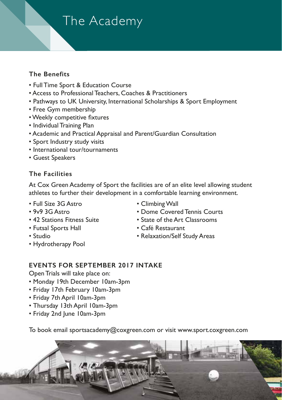# The Academy

### **The Benefits**

- Full Time Sport & Education Course
- Access to Professional Teachers, Coaches & Practitioners
- Pathways to UK University, International Scholarships & Sport Employment
- Free Gym membership
- •Weekly competitive fixtures
- Individual Training Plan
- Academic and Practical Appraisal and Parent/Guardian Consultation
- Sport Industry study visits
- International tour/tournaments
- Guest Speakers

### **The Facilities**

At Cox Green Academy of Sport the facilities are of an elite level allowing student athletes to further their development in a comfortable learning environment.

- Full Size 3G Astro
- 9v9 3G Astro
- 42 Stations Fitness Suite
- Futsal Sports Hall
- Studio
- Hydrotherapy Pool
- Climbing Wall
- Dome Covered Tennis Courts
- State of the Art Classrooms
- Café Restaurant
- Relaxation/Self Study Areas

### **EVENTS FOR SEPTEMBER 2017 INTAKE**

Open Trials will take place on:

- Monday 19th December 10am-3pm
- Friday 17th February 10am-3pm
- Friday 7th April 10am-3pm
- Thursday 13th April 10am-3pm
- Friday 2nd June 10am-3pm

To book email sportsacademy@coxgreen.com or visit www.sport.coxgreen.com

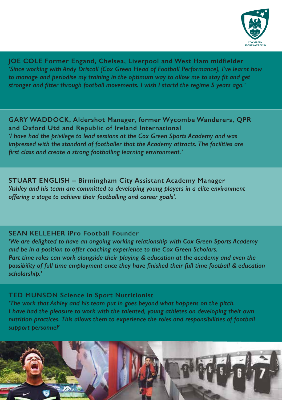

**JOE COLE Former Engand, Chelsea, Liverpool and West Ham midfielder** *'Since working with Andy Driscoll (Cox Green Head of Football Performance), I've learnt how to manage and periodise my training in the optimum way to allow me to stay fit and get stronger and fitter through football movements. I wish I startd the regime 5 years ago.'*

**GARY WADDOCK, Aldershot Manager, former Wycombe Wanderers, QPR and Oxford Utd and Republic of Ireland International** *'I have had the privilege to lead sessions at the Cox Green Sports Academy and was impressed with the standard of footballer that the Academy attracts. The facilities are first class and create a strong footballing learning environment.'*

**STUART ENGLISH – Birmingham City Assistant Academy Manager** *'Ashley and his team are committed to developing young players in a elite environment offering a stage to achieve their footballing and career goals'.*

#### **SEAN KELLEHER iPro Football Founder**

*'We are delighted to have an ongoing working relationship with Cox Green Sports Academy and be in a position to offer coaching experience to the Cox Green Scholars. Part time roles can work alongside their playing & education at the academy and even the possibility of full time employment once they have finished their full time football & education scholarship.'*

#### **TED MUNSON Science in Sport Nutritionist**

*'The work that Ashley and his team put in goes beyond what happens on the pitch. I have had the pleasure to work with the talented, young athletes on developing their own nutrition practices. This allows them to experience the roles and responsibilities of football support personnel'*